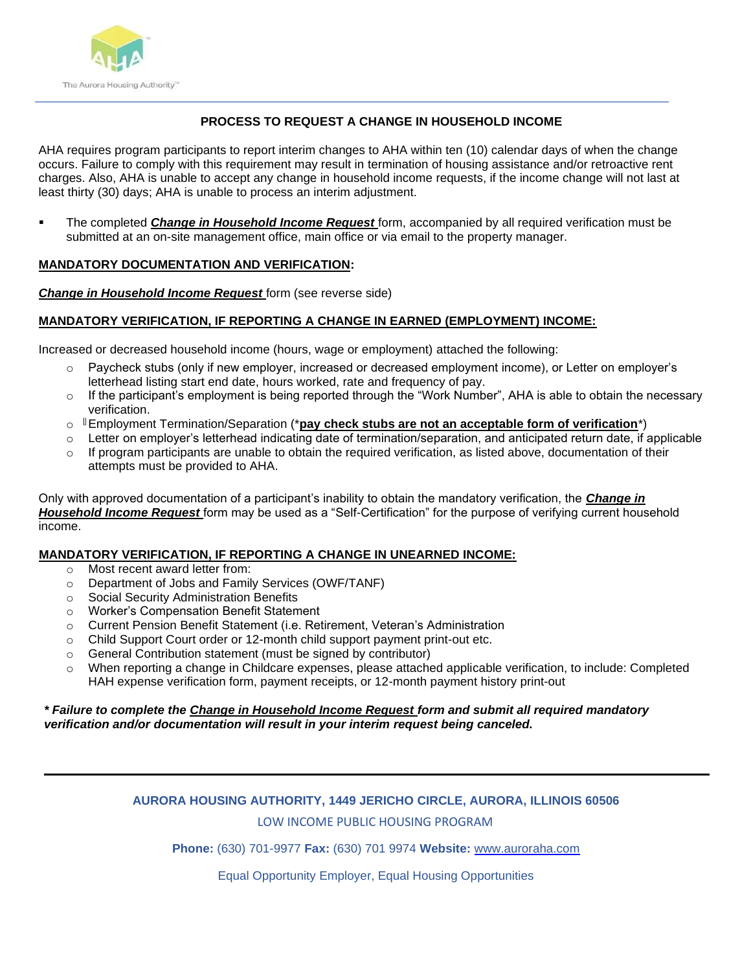

## **PROCESS TO REQUEST A CHANGE IN HOUSEHOLD INCOME**

AHA requires program participants to report interim changes to AHA within ten (10) calendar days of when the change occurs. Failure to comply with this requirement may result in termination of housing assistance and/or retroactive rent charges. Also, AHA is unable to accept any change in household income requests, if the income change will not last at least thirty (30) days; AHA is unable to process an interim adjustment.

The completed *Change in Household Income Request* form, accompanied by all required verification must be submitted at an on-site management office, main office or via email to the property manager.

#### **MANDATORY DOCUMENTATION AND VERIFICATION:**

*Change in Household Income Request* form (see reverse side)

#### **MANDATORY VERIFICATION, IF REPORTING A CHANGE IN EARNED (EMPLOYMENT) INCOME:**

Increased or decreased household income (hours, wage or employment) attached the following:

- o Paycheck stubs (only if new employer, increased or decreased employment income), or Letter on employer's letterhead listing start end date, hours worked, rate and frequency of pay.
- $\circ$  If the participant's employment is being reported through the "Work Number", AHA is able to obtain the necessary verification.
- o Employment Termination/Separation (\***pay check stubs are not an acceptable form of verification**\*)
- o Letter on employer's letterhead indicating date of termination/separation, and anticipated return date, if applicable
- o If program participants are unable to obtain the required verification, as listed above, documentation of their attempts must be provided to AHA.

Only with approved documentation of a participant's inability to obtain the mandatory verification, the *Change in Household Income Request* form may be used as a "Self-Certification" for the purpose of verifying current household income.

#### **MANDATORY VERIFICATION, IF REPORTING A CHANGE IN UNEARNED INCOME:**

- o Most recent award letter from:
- o Department of Jobs and Family Services (OWF/TANF)
- o Social Security Administration Benefits
- o Worker's Compensation Benefit Statement
- o Current Pension Benefit Statement (i.e. Retirement, Veteran's Administration
- $\circ$  Child Support Court order or 12-month child support payment print-out etc.
- o General Contribution statement (must be signed by contributor)
- o When reporting a change in Childcare expenses, please attached applicable verification, to include: Completed HAH expense verification form, payment receipts, or 12-month payment history print-out

#### *\* Failure to complete the Change in Household Income Request form and submit all required mandatory verification and/or documentation will result in your interim request being canceled.*

# **AURORA HOUSING AUTHORITY, 1449 JERICHO CIRCLE, AURORA, ILLINOIS 60506**

#### LOW INCOME PUBLIC HOUSING PROGRAM

**Phone:** (630) 701-9977 **Fax:** (630) 701 9974 **Website:** [www.auroraha.com](http://www.auroraha.com/)

Equal Opportunity Employer, Equal Housing Opportunities